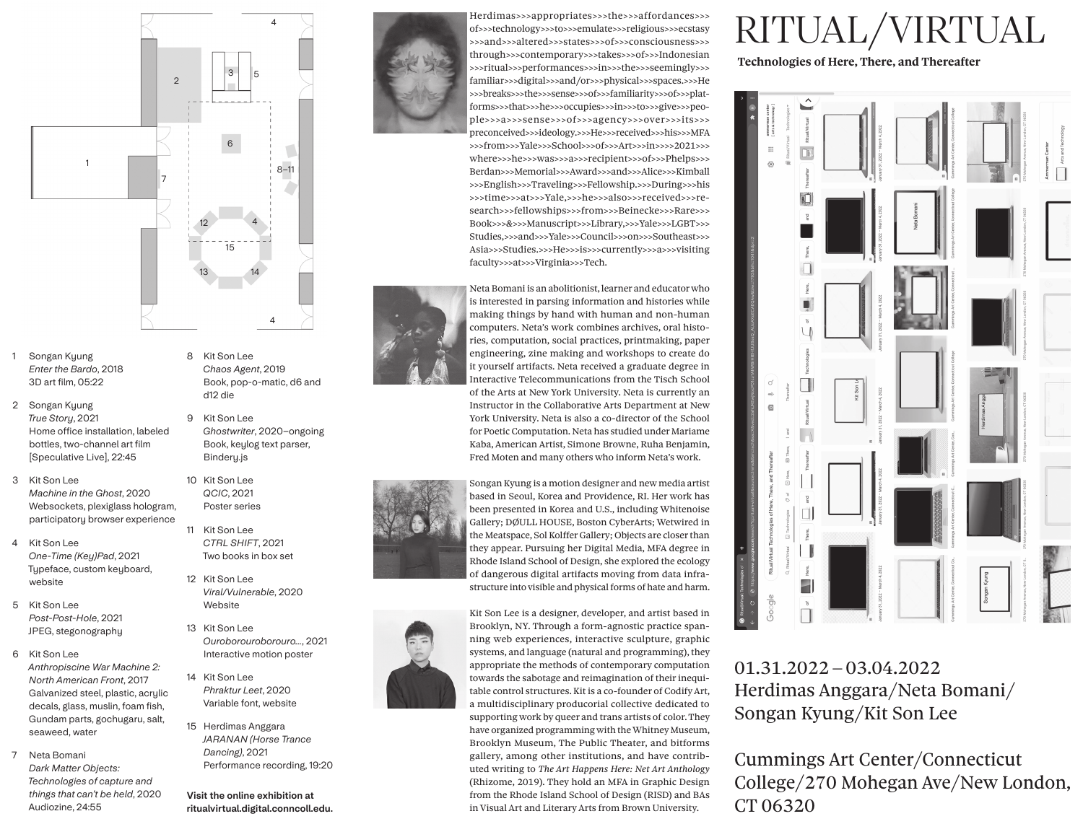

- 1 Songan Kyung Enter the Bardo, 2018 3D art film, 05:22
- 2 Songan Kyung True Story, 2021 Home office installation, labeled bottles, two-channel art film [Speculative Live], 22:45
- 3 Kit Son Lee Machine in the Ghost, 2020 Websockets, plexiglass hologram, participatory browser experience
- Kit Son Lee  $\overline{4}$ One-Time (Key)Pad, 2021 Typeface, custom keyboard, website
- 5 Kit Son Lee Post-Post-Hole, 2021 JPEG, stegonography
- 6 Kit Son Lee Anthropiscine War Machine 2: North American Front, 2017 Galvanized steel, plastic, acrylic decals, glass, muslin, foam fish, Gundam parts, gochugaru, salt, seaweed, water
- 7 Neta Bomani Dark Matter Objects: Technologies of capture and things that can't be held, 2020 Audiozine, 24:55
- 8 Kit Son Lee Chaos Agent, 2019 Book, pop-o-matic, d6 and d12 die
- 9 Kit Son Lee Ghostwriter, 2020-ongoing Book, keylog text parser, Bindery.js

10 Kit Son Lee QCIC, 2021 Poster series

- 11 Kit Son Lee CTRL SHIFT, 2021 Two books in box set
- 12 Kit Son Lee Viral/Vulnerable, 2020 Website
- 13 Kit Son Lee Ouroborouroborouro..., 2021 Interactive motion poster
- 14 Kit Son Lee Phraktur Leet, 2020 Variable font, website
- 15 Herdimas Anggara JARANAN (Horse Trance Dancing), 2021 Performance recording, 19:20

Visit the online exhibition at ritualvirtual.digital.conncoll.edu.



Herdimas>>>appropriates>>>the>>>affordances>>> of>>>technology>>>to>>>emulate>>>religious>>>ecstasy >>>and>>>altered>>>states>>>of>>>consciousness>>> through>>>contemporary>>>takes>>>of>>>Indonesian >>>ritual>>>performances>>>in>>>the>>>seemingly>>> familiar>>>digital>>>and/or>>>physical>>>spaces.>>>He >>>breaks>>>the>>>sense>>>of>>>familiarity>>>of>>>platforms>>>that>>>he>>>occupies>>>in>>>to>>>give>>>people>>>a>>>sense>>>of>>>agency>>>over>>>its>>> preconceived>>>ideology.>>>He>>>received>>>his>>>MFA >>>from>>>Yale>>>School>>>of>>>Art>>>in>>>>2021>>> where>>>he>>>was>>>a>>>recipient>>>of>>>Phelps>>> Berdan>>>Memorial>>>Award>>>and>>>Alice>>>Kimball >>>English>>>Traveling>>>Fellowship.>>>During>>>his >>>time>>>at>>>Yale,>>>he>>>also>>>received>>>research>>>fellowships>>>from>>>Beinecke>>>Rare>>> Book>>>&>>>Manuscript>>>Library,>>>Yale>>>LGBT>>> Studies,>>>and>>>Yale>>>Council>>>on>>>Southeast>>> Asia>>>Studies.>>>He>>>is>>>currently>>>a>>>visiting faculty>>>at>>>Virginia>>>Tech.



Neta Bomani is an abolitionist, learner and educator who is interested in parsing information and histories while making things by hand with human and non-human computers. Neta's work combines archives, oral histories, computation, social practices, printmaking, paper engineering, zine making and workshops to create do it yourself artifacts. Neta received a graduate degree in Interactive Telecommunications from the Tisch School of the Arts at New York University. Neta is currently an Instructor in the Collaborative Arts Department at New York University. Neta is also a co-director of the School for Poetic Computation. Neta has studied under Mariame Kaba, American Artist, Simone Browne, Ruha Benjamin, Fred Moten and many others who inform Neta's work.



Songan Kyung is a motion designer and new media artist based in Seoul, Korea and Providence, RI. Her work has been presented in Korea and U.S., including Whitenoise Gallery; DØULL HOUSE, Boston CyberArts; Wetwired in the Meatspace, Sol Kolffer Gallery; Objects are closer than they appear. Pursuing her Digital Media, MFA degree in Rhode Island School of Design, she explored the ecology of dangerous digital artifacts moving from data infrastructure into visible and physical forms of hate and harm.



Kit Son Lee is a designer, developer, and artist based in Brooklyn, NY. Through a form-agnostic practice spanning web experiences, interactive sculpture, graphic systems, and language (natural and programming), they appropriate the methods of contemporary computation towards the sabotage and reimagination of their inequitable control structures. Kit is a co-founder of Codify Art, a multidisciplinary producorial collective dedicated to supporting work by queer and trans artists of color. They have organized programming with the Whitney Museum, Brooklyn Museum, The Public Theater, and bitforms gallery, among other institutions, and have contributed writing to The Art Happens Here: Net Art Anthology (Rhizome, 2019). They hold an MFA in Graphic Design from the Rhode Island School of Design (RISD) and BAs in Visual Art and Literary Arts from Brown University.

## RITUAL/VIRTUAL

Technologies of Here, There, and Thereafter



## $01.31.2022 - 03.04.2022$ Herdimas Anggara/Neta Bomani/ Songan Kyung/Kit Son Lee

Cummings Art Center/Connecticut College/270 Mohegan Ave/New London, CT 06320